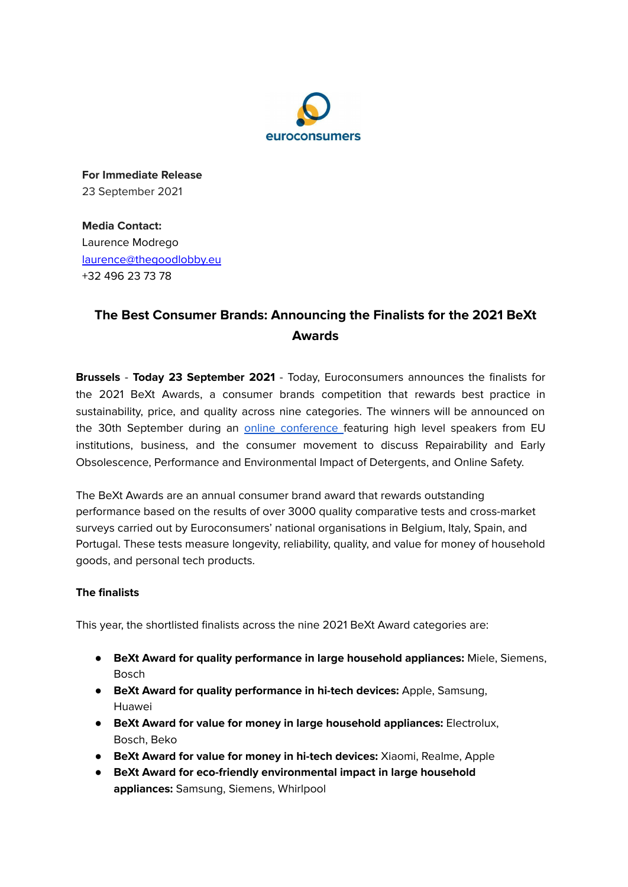

**For Immediate Release** 23 September 2021

**Media Contact:** Laurence Modrego [laurence@thegoodlobby.eu](mailto:laurence@thegoodlobby.eu) +32 496 23 73 78

## **The Best Consumer Brands: Announcing the Finalists for the 2021 BeXt Awards**

**Brussels** - **Today 23 September 2021** - Today, Euroconsumers announces the finalists for the 2021 BeXt Awards, a consumer brands competition that rewards best practice in sustainability, price, and quality across nine categories. The winners will be announced on the 30th September during an online [conference](https://app.clevercast.com/webcast/registration/w-Wda3wg) featuring high level speakers from EU institutions, business, and the consumer movement to discuss Repairability and Early Obsolescence, Performance and Environmental Impact of Detergents, and Online Safety.

The BeXt Awards are an annual consumer brand award that rewards outstanding performance based on the results of over 3000 quality comparative tests and cross-market surveys carried out by Euroconsumers' national organisations in Belgium, Italy, Spain, and Portugal. These tests measure longevity, reliability, quality, and value for money of household goods, and personal tech products.

## **The finalists**

This year, the shortlisted finalists across the nine 2021 BeXt Award categories are:

- **BeXt Award for quality performance in large household appliances:** Miele, Siemens, Bosch
- **BeXt Award for quality performance in hi-tech devices:** Apple, Samsung, Huawei
- **BeXt Award for value for money in large household appliances:** Electrolux, Bosch, Beko
- **BeXt Award for value for money in hi-tech devices:** Xiaomi, Realme, Apple
- **● BeXt Award for eco-friendly environmental impact in large household appliances:** Samsung, Siemens, Whirlpool